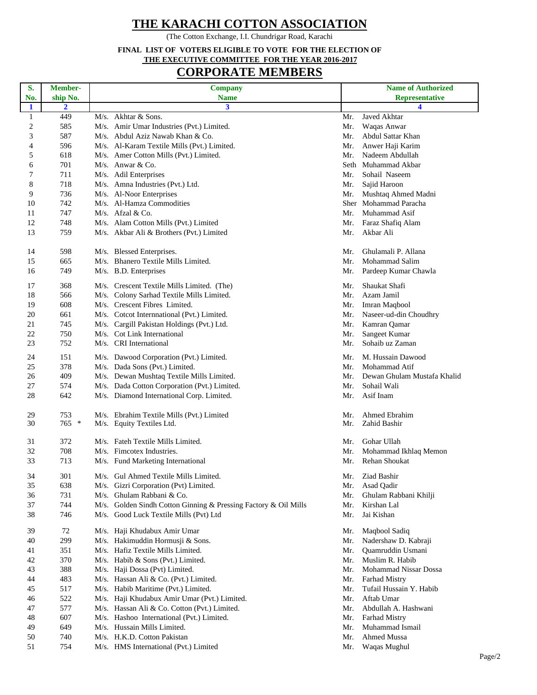## **THE KARACHI COTTON ASSOCIATION**

(The Cotton Exchange, I.I. Chundrigar Road, Karachi

## **FINAL LIST OF VOTERS ELIGIBLE TO VOTE FOR THE ELECTION OF THE EXECUTIVE COMMITTEE FOR THE YEAR 2016-2017**

## **CORPORATE MEMBERS**

| S.               | Member-        |      | <b>Company</b>                                                  |     | <b>Name of Authorized</b>     |
|------------------|----------------|------|-----------------------------------------------------------------|-----|-------------------------------|
| No.              | ship No.       |      | <b>Name</b>                                                     |     | <b>Representative</b>         |
| 1                | $\overline{2}$ |      | 3                                                               |     | 4                             |
| $\mathbf{1}$     | 449            |      | M/s. Akhtar & Sons.                                             | Mr. | Javed Akhtar                  |
| $\boldsymbol{2}$ | 585            |      | M/s. Amir Umar Industries (Pvt.) Limited.                       | Mr. | Waqas Anwar                   |
| 3                | 587            |      | M/s. Abdul Aziz Nawab Khan & Co.                                | Mr. | Abdul Sattar Khan             |
| 4                | 596            |      | M/s. Al-Karam Textile Mills (Pvt.) Limited.                     | Mr. | Anwer Haji Karim              |
| 5                | 618            |      | M/s. Amer Cotton Mills (Pvt.) Limited.                          | Mr. | Nadeem Abdullah               |
| 6                | 701            |      | M/s. Anwar & Co.                                                |     | Seth Muhammad Akbar           |
| 7                | 711            |      | M/s. Adil Enterprises                                           | Mr. | Sohail Naseem                 |
| 8                | 718            |      | M/s. Amna Industries (Pvt.) Ltd.                                | Mr. | Sajid Haroon                  |
| 9                | 736            |      | M/s. Al-Noor Enterprises                                        | Mr. | Mushtaq Ahmed Madni           |
| 10               | 742            |      | M/s. Al-Hamza Commodities                                       |     | Sher Mohammad Paracha         |
| 11               | 747            |      | $M/s$ . Afzal & Co.                                             | Mr. | Muhammad Asif                 |
| 12               | 748            |      | M/s. Alam Cotton Mills (Pvt.) Limited                           |     | Mr. Faraz Shafiq Alam         |
| 13               | 759            |      | M/s. Akbar Ali & Brothers (Pvt.) Limited                        | Mr. | Akbar Ali                     |
|                  |                |      |                                                                 |     |                               |
| 14               | 598            |      | M/s. Blessed Enterprises.                                       | Mr. | Ghulamali P. Allana           |
| 15               | 665            |      | M/s. Bhanero Textile Mills Limited.                             | Mr. | Mohammad Salim                |
| 16               | 749            |      | M/s. B.D. Enterprises                                           | Mr. | Pardeep Kumar Chawla          |
|                  |                |      |                                                                 |     |                               |
| 17               | 368            |      | M/s. Crescent Textile Mills Limited. (The)                      | Mr. | Shaukat Shafi                 |
| 18               | 566            |      | M/s. Colony Sarhad Textile Mills Limited.                       | Mr. | Azam Jamil                    |
| 19               | 608            |      | M/s. Crescent Fibres Limited.                                   | Mr. | Imran Maqbool                 |
| 20               | 661            |      | M/s. Cotcot Internnational (Pvt.) Limited.                      | Mr. | Naseer-ud-din Choudhry        |
| 21               | 745            |      | M/s. Cargill Pakistan Holdings (Pvt.) Ltd.                      | Mr. | Kamran Qamar                  |
| 22               | 750            |      | M/s. Cot Link International                                     | Mr. | Sangeet Kumar                 |
| 23               | 752            |      | M/s. CRI International                                          | Mr. | Sohaib uz Zaman               |
|                  |                |      |                                                                 |     |                               |
| 24               | 151            |      | M/s. Dawood Corporation (Pvt.) Limited.                         | Mr. | M. Hussain Dawood             |
| 25               | 378            |      | M/s. Dada Sons (Pvt.) Limited.                                  | Mr. | Mohammad Atif                 |
| 26               | 409            |      | M/s. Dewan Mushtaq Textile Mills Limited.                       | Mr. | Dewan Ghulam Mustafa Khalid   |
| 27               | 574            |      | M/s. Dada Cotton Corporation (Pvt.) Limited.                    | Mr. | Sohail Wali                   |
| 28               | 642            |      | M/s. Diamond International Corp. Limited.                       | Mr. | Asif Inam                     |
|                  |                |      |                                                                 |     |                               |
| 29<br>30         | 753<br>$765$ * |      | M/s. Ebrahim Textile Mills (Pvt.) Limited                       | Mr. | Ahmed Ebrahim<br>Zahid Bashir |
|                  |                |      | M/s. Equity Textiles Ltd.                                       | Mr. |                               |
| 31               | 372            |      | M/s. Fateh Textile Mills Limited.                               | Mr. | Gohar Ullah                   |
| 32               | 708            |      | M/s. Fimcotex Industries.                                       | Mr. | Mohammad Ikhlaq Memon         |
| 33               | 713            |      | M/s. Fund Marketing International                               | Mr. | <b>Rehan Shoukat</b>          |
|                  |                |      |                                                                 |     |                               |
| 34               | 301            |      | M/s. Gul Ahmed Textile Mills Limited.                           | Mr. | Ziad Bashir                   |
| 35               | 638            |      | M/s. Gizri Corporation (Pvt) Limited.                           | Mr. | Asad Qadir                    |
| 36               | 731            | M/s. | Ghulam Rabbani & Co.                                            | Mr. | Ghulam Rabbani Khilji         |
| 37               | 744            |      | M/s. Golden Sindh Cotton Ginning & Pressing Factory & Oil Mills | Mr. | Kirshan Lal                   |
| 38               | 746            |      | M/s. Good Luck Textile Mills (Pvt) Ltd                          | Mr. | Jai Kishan                    |
|                  |                |      |                                                                 |     |                               |
| 39               | 72             |      | M/s. Haji Khudabux Amir Umar                                    | Mr. | Maqbool Sadiq                 |
| 40               | 299            |      | M/s. Hakimuddin Hormusji & Sons.                                | Mr. | Nadershaw D. Kabraji          |
| 41               | 351            |      | M/s. Hafiz Textile Mills Limited.                               | Mr. | Quamruddin Usmani             |
| 42               | 370            |      | M/s. Habib & Sons (Pvt.) Limited.                               | Mr. | Muslim R. Habib               |
| 43               | 388            |      | M/s. Haji Dossa (Pvt) Limited.                                  | Mr. | Mohammad Nissar Dossa         |
| 44               | 483            |      | M/s. Hassan Ali & Co. (Pvt.) Limited.                           | Mr. | <b>Farhad Mistry</b>          |
| 45               | 517            |      | M/s. Habib Maritime (Pvt.) Limited.                             | Mr. | Tufail Hussain Y. Habib       |
| 46               | 522            |      | M/s. Haji Khudabux Amir Umar (Pvt.) Limited.                    | Mr. | Aftab Umar                    |
| 47               | 577            |      | M/s. Hassan Ali & Co. Cotton (Pvt.) Limited.                    | Mr. | Abdullah A. Hashwani          |
| 48               | 607            |      | M/s. Hashoo International (Pvt.) Limited.                       | Mr. | <b>Farhad Mistry</b>          |
| 49               | 649            |      | M/s. Hussain Mills Limited.                                     | Mr. | Muhammad Ismail               |
| 50               | 740            |      | M/s. H.K.D. Cotton Pakistan                                     | Mr. | Ahmed Mussa                   |
| 51               | 754            |      | M/s. HMS International (Pvt.) Limited                           | Mr. | Waqas Mughul                  |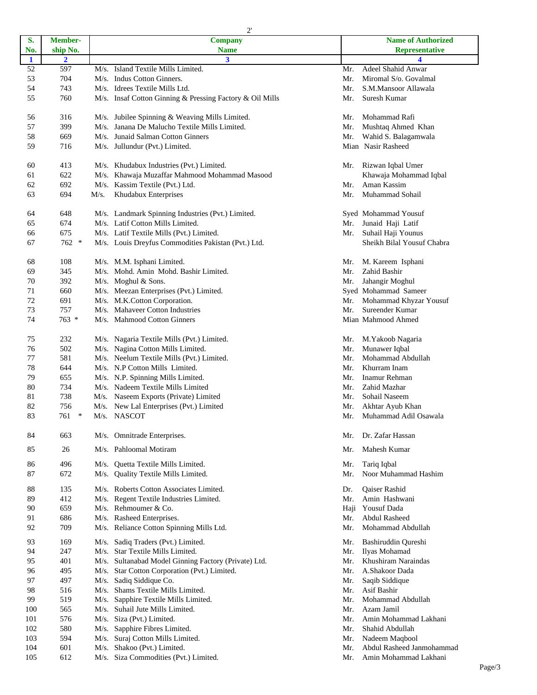|              |                         |      | $\mathcal{L}$                                            |            | Name of Authorized                        |
|--------------|-------------------------|------|----------------------------------------------------------|------------|-------------------------------------------|
| S.           | Member-                 |      | <b>Company</b>                                           |            |                                           |
| No.          | ship No.                |      | <b>Name</b>                                              |            | <b>Representative</b>                     |
| $\mathbf{1}$ | $\overline{\mathbf{2}}$ |      | $\mathbf{3}$                                             |            | 4                                         |
| 52           | 597                     |      | M/s. Island Textile Mills Limited.                       | Mr.        | Adeel Shahid Anwar                        |
| 53           | 704                     |      | M/s. Indus Cotton Ginners.                               | Mr.        | Miromal S/o. Govalmal                     |
| 54           | 743                     |      | M/s. Idrees Textile Mills Ltd.                           | Mr.        | S.M.Mansoor Allawala                      |
| 55           | 760                     |      | M/s. Insaf Cotton Ginning & Pressing Factory & Oil Mills | Mr.        | Suresh Kumar                              |
| 56           | 316                     |      | M/s. Jubilee Spinning & Weaving Mills Limited.           | Mr.        | Mohammad Rafi                             |
| 57           | 399                     |      | M/s. Janana De Malucho Textile Mills Limited.            | Mr.        | Mushtaq Ahmed Khan                        |
| 58           | 669                     |      | M/s. Junaid Salman Cotton Ginners                        | Mr.        | Wahid S. Balagamwala                      |
| 59           | 716                     |      | M/s. Jullundur (Pvt.) Limited.                           |            | Mian Nasir Rasheed                        |
| 60           | 413                     |      | M/s. Khudabux Industries (Pvt.) Limited.                 | Mr.        | Rizwan Iqbal Umer                         |
| 61           | 622                     |      | M/s. Khawaja Muzaffar Mahmood Mohammad Masood            |            | Khawaja Mohammad Iqbal                    |
| 62           | 692                     |      | M/s. Kassim Textile (Pvt.) Ltd.                          | Mr.        | Aman Kassim                               |
| 63           | 694                     | M/s. | Khudabux Enterprises                                     | Mr.        | Muhammad Sohail                           |
| 64           | 648                     |      | M/s. Landmark Spinning Industries (Pvt.) Limited.        |            | Syed Mohammad Yousuf                      |
| 65           | 674                     |      | M/s. Latif Cotton Mills Limited.                         | Mr.        | Junaid Haji Latif                         |
| 66           | 675                     |      | M/s. Latif Textile Mills (Pvt.) Limited.                 | Mr.        | Suhail Haji Younus                        |
| 67           | $762$ *                 |      | M/s. Louis Dreyfus Commodities Pakistan (Pvt.) Ltd.      |            | Sheikh Bilal Yousuf Chabra                |
|              |                         |      |                                                          |            |                                           |
| 68           | 108                     |      | M/s. M.M. Isphani Limited.                               | Mr.        | M. Kareem Isphani                         |
| 69           | 345                     |      | M/s. Mohd. Amin Mohd. Bashir Limited.                    | Mr.        | Zahid Bashir                              |
| 70           | 392                     |      | M/s. Moghul & Sons.                                      | Mr.        | Jahangir Moghul                           |
| 71           | 660                     |      | M/s. Meezan Enterprises (Pvt.) Limited.                  |            | Syed Mohammad Sameer                      |
| 72           | 691                     |      | M/s. M.K.Cotton Corporation.                             | Mr.        | Mohammad Khyzar Yousuf                    |
| 73           | 757                     |      | M/s. Mahaveer Cotton Industries                          | Mr.        | Sureender Kumar                           |
| 74           | 763 *                   |      | M/s. Mahmood Cotton Ginners                              |            | Mian Mahmood Ahmed                        |
| 75           | 232                     |      | M/s. Nagaria Textile Mills (Pvt.) Limited.               | Mr.        | M.Yakoob Nagaria                          |
| 76           | 502                     |      | M/s. Nagina Cotton Mills Limited.                        | Mr.        | Munawer Iqbal                             |
| 77           | 581                     |      | M/s. Neelum Textile Mills (Pvt.) Limited.                | Mr.        | Mohammad Abdullah                         |
| 78           | 644                     |      | M/s. N.P Cotton Mills Limited.                           | Mr.        | Khurram Inam                              |
| 79           | 655                     |      | M/s. N.P. Spinning Mills Limited.                        | Mr.        | Inamur Rehman                             |
| 80           | 734                     |      | M/s. Nadeem Textile Mills Limited                        | Mr.        | Zahid Mazhar                              |
| 81           | 738                     |      |                                                          | Mr.        | Sohail Naseem                             |
| 82           | 756                     |      | M/s. Naseem Exports (Private) Limited                    |            |                                           |
| 83           | $\ast$<br>761           |      | M/s. New Lal Enterprises (Pvt.) Limited<br>M/s. NASCOT   | Mr.<br>Mr. | Akhtar Ayub Khan<br>Muhammad Adil Osawala |
|              |                         |      |                                                          |            | Dr. Zafar Hassan                          |
| 84           | 663                     |      | M/s. Omnitrade Enterprises.<br>M/s. Pahloomal Motiram    | Mr.        | Mahesh Kumar                              |
| 85           | 26                      |      |                                                          | Mr.        |                                           |
| 86           | 496                     | M/s. | Quetta Textile Mills Limited.                            | Mr.        | Tariq Iqbal                               |
| 87           | 672                     | M/s. | <b>Ouality Textile Mills Limited.</b>                    | Mr.        | Noor Muhammad Hashim                      |
| 88           | 135                     |      | M/s. Roberts Cotton Associates Limited.                  | Dr.        | Qaiser Rashid                             |
| 89           | 412                     |      | M/s. Regent Textile Industries Limited.                  | Mr.        | Amin Hashwani                             |
| 90           | 659                     |      | M/s. Rehmoumer & Co.                                     |            | Haji Yousuf Dada                          |
| 91           | 686                     |      | M/s. Rasheed Enterprises.                                | Mr.        | <b>Abdul Rasheed</b>                      |
| 92           | 709                     |      | M/s. Reliance Cotton Spinning Mills Ltd.                 | Mr.        | Mohammad Abdullah                         |
| 93           | 169                     |      | M/s. Sadiq Traders (Pvt.) Limited.                       | Mr.        | Bashiruddin Qureshi                       |
| 94           | 247                     |      | M/s. Star Textile Mills Limited.                         | Mr.        | Ilyas Mohamad                             |
| 95           | 401                     |      | M/s. Sultanabad Model Ginning Factory (Private) Ltd.     | Mr.        | Khushiram Naraindas                       |
| 96           | 495                     |      | M/s. Star Cotton Corporation (Pvt.) Limited.             | Mr.        | A.Shakoor Dada                            |
| 97           | 497                     |      | M/s. Sadiq Siddique Co.                                  | Mr.        | Saqib Siddique                            |
| 98           | 516                     |      | M/s. Shams Textile Mills Limited.                        | Mr.        | Asif Bashir                               |
| 99           | 519                     |      | M/s. Sapphire Textile Mills Limited.                     | Mr.        | Mohammad Abdullah                         |
| 100          | 565                     |      | M/s. Suhail Jute Mills Limited.                          | Mr.        | Azam Jamil                                |
| 101          | 576                     |      | M/s. Siza (Pvt.) Limited.                                | Mr.        | Amin Mohammad Lakhani                     |
| 102          | 580                     |      | M/s. Sapphire Fibres Limited.                            | Mr.        | Shahid Abdullah                           |
| 103          | 594                     |      | M/s. Suraj Cotton Mills Limited.                         | Mr.        | Nadeem Maqbool                            |
| 104          | 601                     |      | M/s. Shakoo (Pvt.) Limited.                              | Mr.        | Abdul Rasheed Janmohammad                 |
| 105          | 612                     |      | M/s. Siza Commodities (Pvt.) Limited.                    | Mr.        | Amin Mohammad Lakhani                     |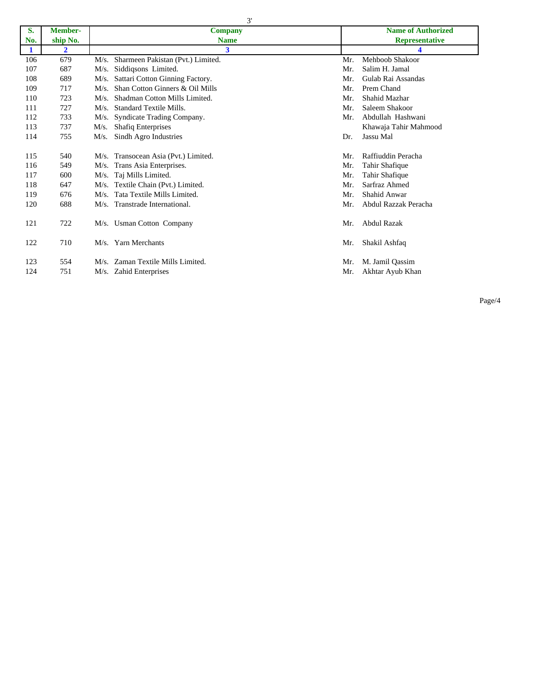3'

| S.           | <b>Member-</b> | <b>Company</b>                            | <b>Name of Authorized</b>   |
|--------------|----------------|-------------------------------------------|-----------------------------|
| No.          | ship No.       | <b>Name</b>                               | <b>Representative</b>       |
| $\mathbf{1}$ | $\mathbf{2}$   | 3                                         |                             |
| 106          | 679            | Sharmeen Pakistan (Pvt.) Limited.<br>M/s. | Mehboob Shakoor<br>Mr.      |
| 107          | 687            | Siddiqsons Limited.<br>M/s.               | Salim H. Jamal<br>Mr.       |
| 108          | 689            | Sattari Cotton Ginning Factory.<br>M/s.   | Gulab Rai Assandas<br>Mr.   |
| 109          | 717            | Shan Cotton Ginners & Oil Mills<br>M/s.   | Prem Chand<br>Mr.           |
| 110          | 723            | Shadman Cotton Mills Limited.<br>$M/s$ .  | Shahid Mazhar<br>Mr.        |
| 111          | 727            | <b>Standard Textile Mills.</b><br>M/s.    | Saleem Shakoor<br>Mr.       |
| 112          | 733            | Syndicate Trading Company.<br>M/s.        | Abdullah Hashwani<br>Mr.    |
| 113          | 737            | <b>Shafiq Enterprises</b><br>M/s.         | Khawaja Tahir Mahmood       |
| 114          | 755            | Sindh Agro Industries<br>M/s.             | Jassu Mal<br>Dr.            |
|              |                |                                           |                             |
| 115          | 540            | M/s. Transocean Asia (Pvt.) Limited.      | Raffiuddin Peracha<br>Mr.   |
| 116          | 549            | Trans Asia Enterprises.<br>M/s.           | Tahir Shafique<br>Mr.       |
| 117          | 600            | M/s. Taj Mills Limited.                   | Mr.<br>Tahir Shafique       |
| 118          | 647            | Textile Chain (Pvt.) Limited.<br>M/s.     | Sarfraz Ahmed<br>Mr.        |
| 119          | 676            | Tata Textile Mills Limited.<br>M/s.       | Shahid Anwar<br>Mr.         |
| 120          | 688            | M/s. Transtrade International.            | Abdul Razzak Peracha<br>Mr. |
|              |                |                                           |                             |
| 121          | 722            | M/s. Usman Cotton Company                 | <b>Abdul Razak</b><br>Mr.   |
|              |                |                                           |                             |
| 122          | 710            | M/s. Yarn Merchants                       | Shakil Ashfaq<br>Mr.        |
|              |                |                                           |                             |
| 123          | 554            | Zaman Textile Mills Limited.<br>M/s.      | M. Jamil Qassim<br>Mr.      |
| 124          | 751            | M/s. Zahid Enterprises                    | Akhtar Ayub Khan<br>Mr.     |

Page/4